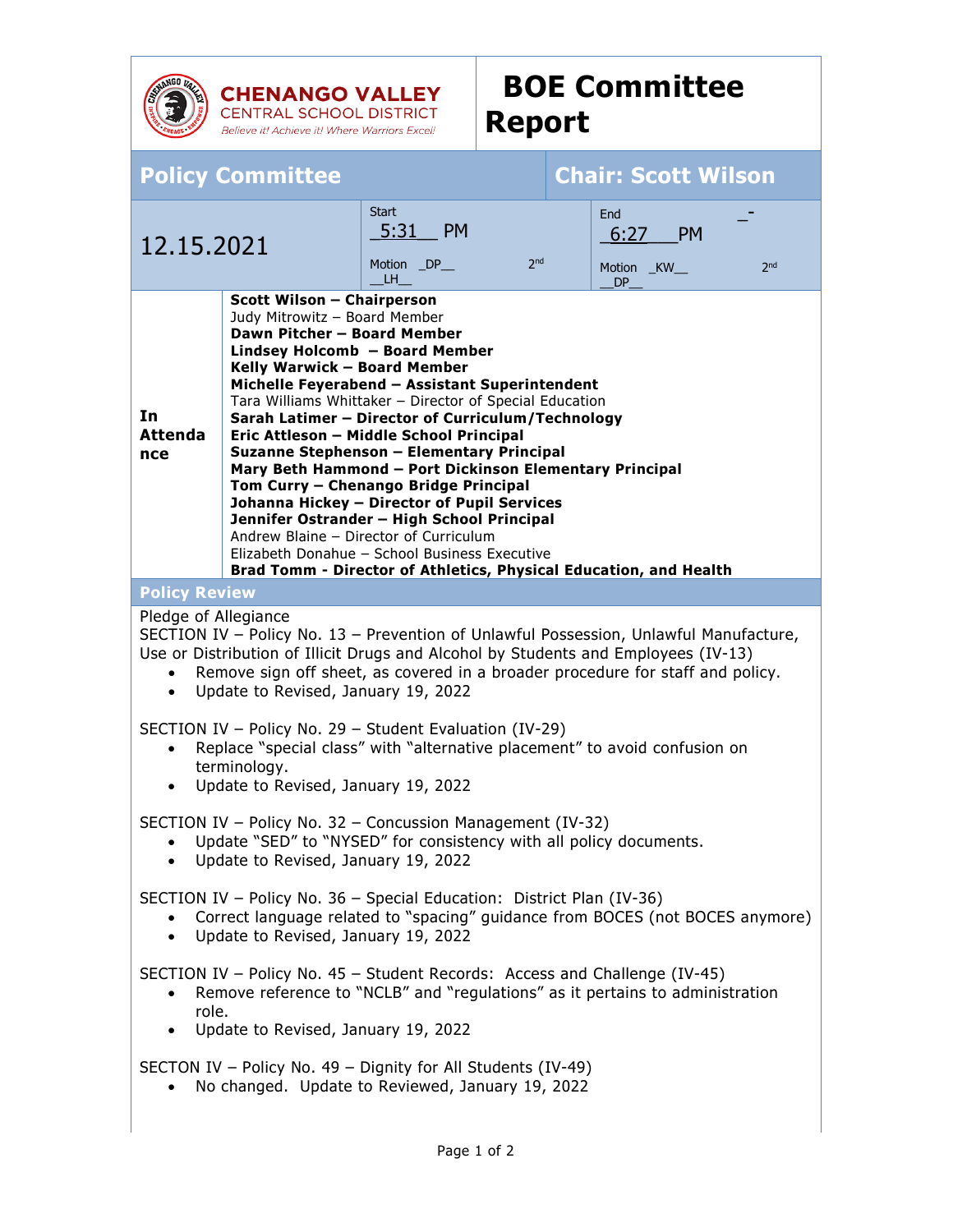

**CHENANGO VALLEY**<br>CENTRAL SCHOOL DISTRICT Believe it! Achieve it! Where Warriors Excel!

## **BOE Committee Report**

| <b>Policy Committee</b>                                                                                                                                                                                                                                                                                                                                                                                                                                                                                                                                                                                                                                                                                                                                                                                                       |  |                                                                            |  | <b>Chair: Scott Wilson</b>                                              |
|-------------------------------------------------------------------------------------------------------------------------------------------------------------------------------------------------------------------------------------------------------------------------------------------------------------------------------------------------------------------------------------------------------------------------------------------------------------------------------------------------------------------------------------------------------------------------------------------------------------------------------------------------------------------------------------------------------------------------------------------------------------------------------------------------------------------------------|--|----------------------------------------------------------------------------|--|-------------------------------------------------------------------------|
| 12.15.2021                                                                                                                                                                                                                                                                                                                                                                                                                                                                                                                                                                                                                                                                                                                                                                                                                    |  | <b>Start</b><br><b>PM</b><br>5:31<br>2 <sub>nd</sub><br>Motion _DP_<br>LH. |  | End<br><b>PM</b><br>6:27<br>2 <sub>nd</sub><br>Motion _KW_<br><b>DP</b> |
| <b>Scott Wilson - Chairperson</b><br>Judy Mitrowitz - Board Member<br>Dawn Pitcher - Board Member<br>Lindsey Holcomb - Board Member<br>Kelly Warwick - Board Member<br>Michelle Feyerabend - Assistant Superintendent<br>Tara Williams Whittaker - Director of Special Education<br>In<br>Sarah Latimer - Director of Curriculum/Technology<br><b>Attenda</b><br>Eric Attleson - Middle School Principal<br>Suzanne Stephenson - Elementary Principal<br>nce<br>Mary Beth Hammond - Port Dickinson Elementary Principal<br>Tom Curry - Chenango Bridge Principal<br>Johanna Hickey - Director of Pupil Services<br>Jennifer Ostrander - High School Principal<br>Andrew Blaine - Director of Curriculum<br>Elizabeth Donahue - School Business Executive<br>Brad Tomm - Director of Athletics, Physical Education, and Health |  |                                                                            |  |                                                                         |
| <b>Policy Review</b>                                                                                                                                                                                                                                                                                                                                                                                                                                                                                                                                                                                                                                                                                                                                                                                                          |  |                                                                            |  |                                                                         |
| Pledge of Allegiance<br>SECTION IV - Policy No. 13 - Prevention of Unlawful Possession, Unlawful Manufacture,<br>Use or Distribution of Illicit Drugs and Alcohol by Students and Employees (IV-13)<br>Remove sign off sheet, as covered in a broader procedure for staff and policy.<br>$\bullet$<br>Update to Revised, January 19, 2022<br>$\bullet$<br>SECTION IV - Policy No. 29 - Student Evaluation (IV-29)<br>Replace "special class" with "alternative placement" to avoid confusion on<br>$\bullet$<br>terminology.<br>Update to Revised, January 19, 2022<br>$\bullet$                                                                                                                                                                                                                                              |  |                                                                            |  |                                                                         |
| SECTION IV - Policy No. 32 - Concussion Management (IV-32)<br>Update "SED" to "NYSED" for consistency with all policy documents.<br>$\bullet$<br>Update to Revised, January 19, 2022                                                                                                                                                                                                                                                                                                                                                                                                                                                                                                                                                                                                                                          |  |                                                                            |  |                                                                         |
| SECTION IV - Policy No. 36 - Special Education: District Plan (IV-36)<br>Correct language related to "spacing" guidance from BOCES (not BOCES anymore)<br>Update to Revised, January 19, 2022<br>$\bullet$                                                                                                                                                                                                                                                                                                                                                                                                                                                                                                                                                                                                                    |  |                                                                            |  |                                                                         |
| SECTION IV - Policy No. 45 - Student Records: Access and Challenge (IV-45)<br>Remove reference to "NCLB" and "regulations" as it pertains to administration<br>role.<br>Update to Revised, January 19, 2022                                                                                                                                                                                                                                                                                                                                                                                                                                                                                                                                                                                                                   |  |                                                                            |  |                                                                         |
| SECTON IV - Policy No. 49 - Dignity for All Students (IV-49)<br>No changed. Update to Reviewed, January 19, 2022                                                                                                                                                                                                                                                                                                                                                                                                                                                                                                                                                                                                                                                                                                              |  |                                                                            |  |                                                                         |